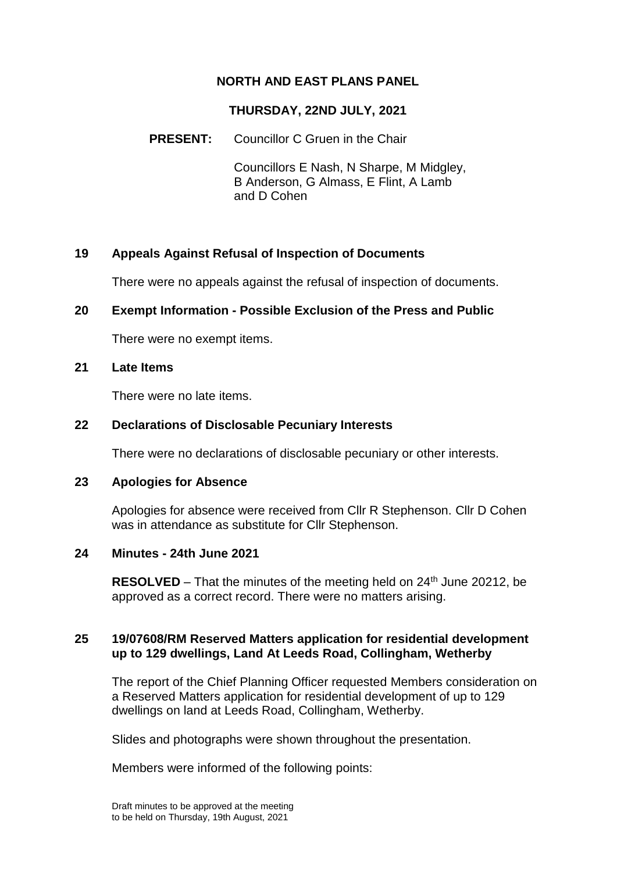# **NORTH AND EAST PLANS PANEL**

# **THURSDAY, 22ND JULY, 2021**

### **PRESENT:** Councillor C Gruen in the Chair

Councillors E Nash, N Sharpe, M Midgley, B Anderson, G Almass, E Flint, A Lamb and D Cohen

# **19 Appeals Against Refusal of Inspection of Documents**

There were no appeals against the refusal of inspection of documents.

#### **20 Exempt Information - Possible Exclusion of the Press and Public**

There were no exempt items.

### **21 Late Items**

There were no late items.

#### **22 Declarations of Disclosable Pecuniary Interests**

There were no declarations of disclosable pecuniary or other interests.

### **23 Apologies for Absence**

Apologies for absence were received from Cllr R Stephenson. Cllr D Cohen was in attendance as substitute for Cllr Stephenson.

#### **24 Minutes - 24th June 2021**

**RESOLVED** – That the minutes of the meeting held on  $24<sup>th</sup>$  June 20212, be approved as a correct record. There were no matters arising.

### **25 19/07608/RM Reserved Matters application for residential development up to 129 dwellings, Land At Leeds Road, Collingham, Wetherby**

The report of the Chief Planning Officer requested Members consideration on a Reserved Matters application for residential development of up to 129 dwellings on land at Leeds Road, Collingham, Wetherby.

Slides and photographs were shown throughout the presentation.

Members were informed of the following points: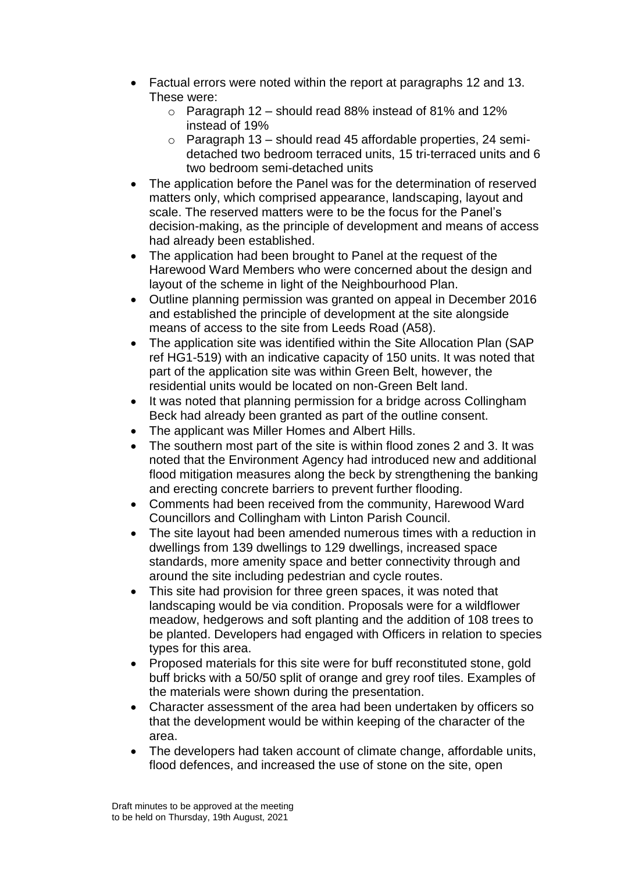- Factual errors were noted within the report at paragraphs 12 and 13. These were:
	- $\circ$  Paragraph 12 should read 88% instead of 81% and 12% instead of 19%
	- o Paragraph 13 should read 45 affordable properties, 24 semidetached two bedroom terraced units, 15 tri-terraced units and 6 two bedroom semi-detached units
- The application before the Panel was for the determination of reserved matters only, which comprised appearance, landscaping, layout and scale. The reserved matters were to be the focus for the Panel's decision-making, as the principle of development and means of access had already been established.
- The application had been brought to Panel at the request of the Harewood Ward Members who were concerned about the design and layout of the scheme in light of the Neighbourhood Plan.
- Outline planning permission was granted on appeal in December 2016 and established the principle of development at the site alongside means of access to the site from Leeds Road (A58).
- The application site was identified within the Site Allocation Plan (SAP) ref HG1-519) with an indicative capacity of 150 units. It was noted that part of the application site was within Green Belt, however, the residential units would be located on non-Green Belt land.
- It was noted that planning permission for a bridge across Collingham Beck had already been granted as part of the outline consent.
- The applicant was Miller Homes and Albert Hills.
- The southern most part of the site is within flood zones 2 and 3. It was noted that the Environment Agency had introduced new and additional flood mitigation measures along the beck by strengthening the banking and erecting concrete barriers to prevent further flooding.
- Comments had been received from the community, Harewood Ward Councillors and Collingham with Linton Parish Council.
- The site layout had been amended numerous times with a reduction in dwellings from 139 dwellings to 129 dwellings, increased space standards, more amenity space and better connectivity through and around the site including pedestrian and cycle routes.
- This site had provision for three green spaces, it was noted that landscaping would be via condition. Proposals were for a wildflower meadow, hedgerows and soft planting and the addition of 108 trees to be planted. Developers had engaged with Officers in relation to species types for this area.
- Proposed materials for this site were for buff reconstituted stone, gold buff bricks with a 50/50 split of orange and grey roof tiles. Examples of the materials were shown during the presentation.
- Character assessment of the area had been undertaken by officers so that the development would be within keeping of the character of the area.
- The developers had taken account of climate change, affordable units, flood defences, and increased the use of stone on the site, open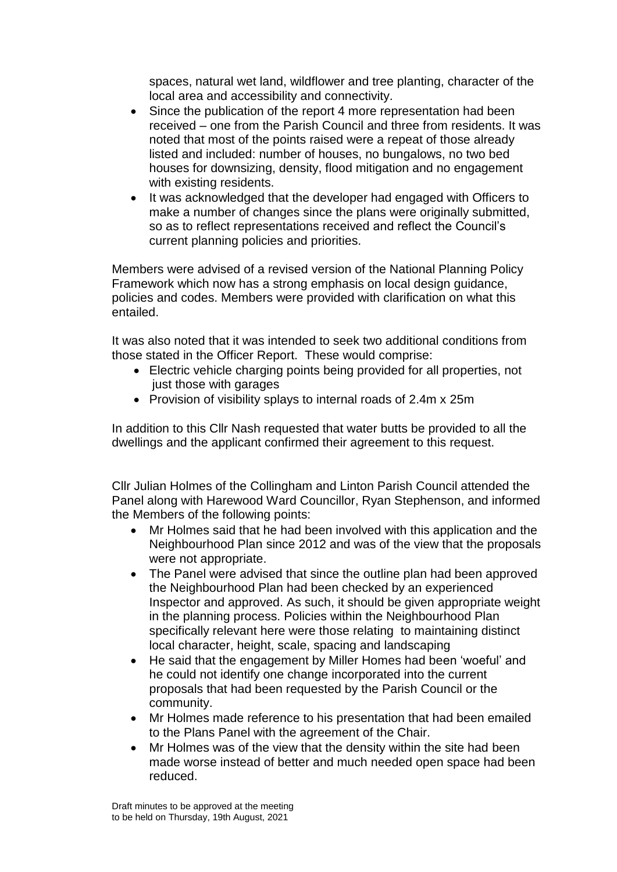spaces, natural wet land, wildflower and tree planting, character of the local area and accessibility and connectivity.

- Since the publication of the report 4 more representation had been received – one from the Parish Council and three from residents. It was noted that most of the points raised were a repeat of those already listed and included: number of houses, no bungalows, no two bed houses for downsizing, density, flood mitigation and no engagement with existing residents.
- It was acknowledged that the developer had engaged with Officers to make a number of changes since the plans were originally submitted, so as to reflect representations received and reflect the Council's current planning policies and priorities.

Members were advised of a revised version of the National Planning Policy Framework which now has a strong emphasis on local design guidance, policies and codes. Members were provided with clarification on what this entailed.

It was also noted that it was intended to seek two additional conditions from those stated in the Officer Report. These would comprise:

- Electric vehicle charging points being provided for all properties, not just those with garages
- Provision of visibility splays to internal roads of 2.4m x 25m

In addition to this Cllr Nash requested that water butts be provided to all the dwellings and the applicant confirmed their agreement to this request.

Cllr Julian Holmes of the Collingham and Linton Parish Council attended the Panel along with Harewood Ward Councillor, Ryan Stephenson, and informed the Members of the following points:

- Mr Holmes said that he had been involved with this application and the Neighbourhood Plan since 2012 and was of the view that the proposals were not appropriate.
- The Panel were advised that since the outline plan had been approved the Neighbourhood Plan had been checked by an experienced Inspector and approved. As such, it should be given appropriate weight in the planning process. Policies within the Neighbourhood Plan specifically relevant here were those relating to maintaining distinct local character, height, scale, spacing and landscaping
- He said that the engagement by Miller Homes had been 'woeful' and he could not identify one change incorporated into the current proposals that had been requested by the Parish Council or the community.
- Mr Holmes made reference to his presentation that had been emailed to the Plans Panel with the agreement of the Chair.
- Mr Holmes was of the view that the density within the site had been made worse instead of better and much needed open space had been reduced.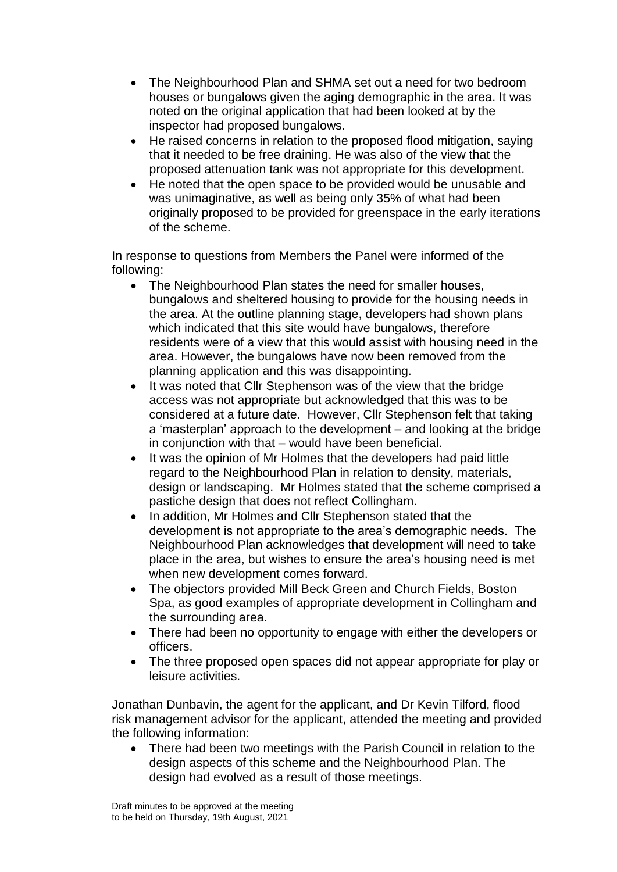- The Neighbourhood Plan and SHMA set out a need for two bedroom houses or bungalows given the aging demographic in the area. It was noted on the original application that had been looked at by the inspector had proposed bungalows.
- He raised concerns in relation to the proposed flood mitigation, saying that it needed to be free draining. He was also of the view that the proposed attenuation tank was not appropriate for this development.
- He noted that the open space to be provided would be unusable and was unimaginative, as well as being only 35% of what had been originally proposed to be provided for greenspace in the early iterations of the scheme.

In response to questions from Members the Panel were informed of the following:

- The Neighbourhood Plan states the need for smaller houses, bungalows and sheltered housing to provide for the housing needs in the area. At the outline planning stage, developers had shown plans which indicated that this site would have bungalows, therefore residents were of a view that this would assist with housing need in the area. However, the bungalows have now been removed from the planning application and this was disappointing.
- It was noted that Cllr Stephenson was of the view that the bridge access was not appropriate but acknowledged that this was to be considered at a future date. However, Cllr Stephenson felt that taking a 'masterplan' approach to the development – and looking at the bridge in conjunction with that – would have been beneficial.
- It was the opinion of Mr Holmes that the developers had paid little regard to the Neighbourhood Plan in relation to density, materials, design or landscaping. Mr Holmes stated that the scheme comprised a pastiche design that does not reflect Collingham.
- In addition, Mr Holmes and Cllr Stephenson stated that the development is not appropriate to the area's demographic needs. The Neighbourhood Plan acknowledges that development will need to take place in the area, but wishes to ensure the area's housing need is met when new development comes forward.
- The objectors provided Mill Beck Green and Church Fields, Boston Spa, as good examples of appropriate development in Collingham and the surrounding area.
- There had been no opportunity to engage with either the developers or officers.
- The three proposed open spaces did not appear appropriate for play or leisure activities.

Jonathan Dunbavin, the agent for the applicant, and Dr Kevin Tilford, flood risk management advisor for the applicant, attended the meeting and provided the following information:

• There had been two meetings with the Parish Council in relation to the design aspects of this scheme and the Neighbourhood Plan. The design had evolved as a result of those meetings.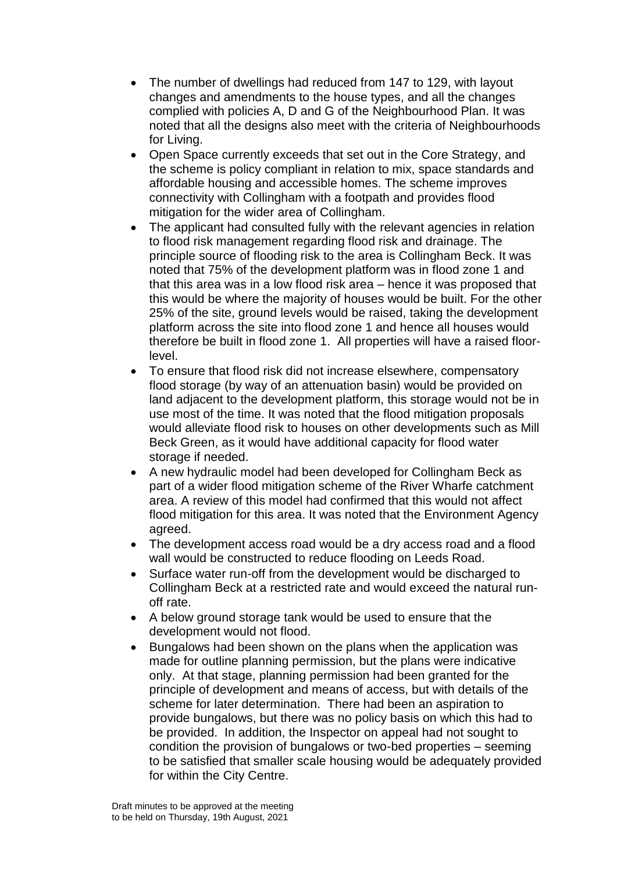- The number of dwellings had reduced from 147 to 129, with layout changes and amendments to the house types, and all the changes complied with policies A, D and G of the Neighbourhood Plan. It was noted that all the designs also meet with the criteria of Neighbourhoods for Living.
- Open Space currently exceeds that set out in the Core Strategy, and the scheme is policy compliant in relation to mix, space standards and affordable housing and accessible homes. The scheme improves connectivity with Collingham with a footpath and provides flood mitigation for the wider area of Collingham.
- The applicant had consulted fully with the relevant agencies in relation to flood risk management regarding flood risk and drainage. The principle source of flooding risk to the area is Collingham Beck. It was noted that 75% of the development platform was in flood zone 1 and that this area was in a low flood risk area – hence it was proposed that this would be where the majority of houses would be built. For the other 25% of the site, ground levels would be raised, taking the development platform across the site into flood zone 1 and hence all houses would therefore be built in flood zone 1. All properties will have a raised floorlevel.
- To ensure that flood risk did not increase elsewhere, compensatory flood storage (by way of an attenuation basin) would be provided on land adjacent to the development platform, this storage would not be in use most of the time. It was noted that the flood mitigation proposals would alleviate flood risk to houses on other developments such as Mill Beck Green, as it would have additional capacity for flood water storage if needed.
- A new hydraulic model had been developed for Collingham Beck as part of a wider flood mitigation scheme of the River Wharfe catchment area. A review of this model had confirmed that this would not affect flood mitigation for this area. It was noted that the Environment Agency agreed.
- The development access road would be a dry access road and a flood wall would be constructed to reduce flooding on Leeds Road.
- Surface water run-off from the development would be discharged to Collingham Beck at a restricted rate and would exceed the natural runoff rate.
- A below ground storage tank would be used to ensure that the development would not flood.
- Bungalows had been shown on the plans when the application was made for outline planning permission, but the plans were indicative only. At that stage, planning permission had been granted for the principle of development and means of access, but with details of the scheme for later determination. There had been an aspiration to provide bungalows, but there was no policy basis on which this had to be provided. In addition, the Inspector on appeal had not sought to condition the provision of bungalows or two-bed properties – seeming to be satisfied that smaller scale housing would be adequately provided for within the City Centre.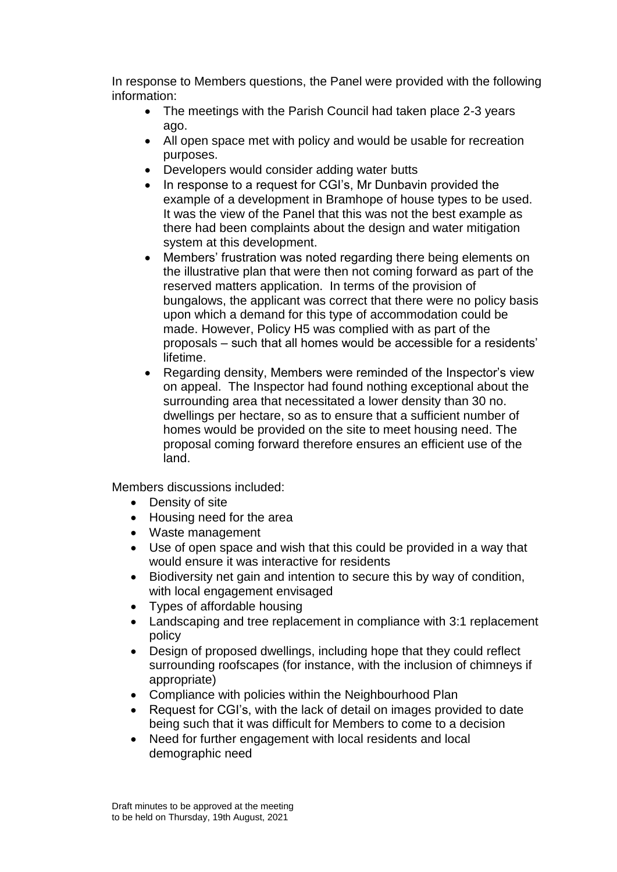In response to Members questions, the Panel were provided with the following information:

- The meetings with the Parish Council had taken place 2-3 years ago.
- All open space met with policy and would be usable for recreation purposes.
- Developers would consider adding water butts
- In response to a request for CGI's, Mr Dunbavin provided the example of a development in Bramhope of house types to be used. It was the view of the Panel that this was not the best example as there had been complaints about the design and water mitigation system at this development.
- Members' frustration was noted regarding there being elements on the illustrative plan that were then not coming forward as part of the reserved matters application. In terms of the provision of bungalows, the applicant was correct that there were no policy basis upon which a demand for this type of accommodation could be made. However, Policy H5 was complied with as part of the proposals – such that all homes would be accessible for a residents' lifetime.
- Regarding density, Members were reminded of the Inspector's view on appeal. The Inspector had found nothing exceptional about the surrounding area that necessitated a lower density than 30 no. dwellings per hectare, so as to ensure that a sufficient number of homes would be provided on the site to meet housing need. The proposal coming forward therefore ensures an efficient use of the land.

Members discussions included:

- Density of site
- Housing need for the area
- Waste management
- Use of open space and wish that this could be provided in a way that would ensure it was interactive for residents
- Biodiversity net gain and intention to secure this by way of condition, with local engagement envisaged
- Types of affordable housing
- Landscaping and tree replacement in compliance with 3:1 replacement policy
- Design of proposed dwellings, including hope that they could reflect surrounding roofscapes (for instance, with the inclusion of chimneys if appropriate)
- Compliance with policies within the Neighbourhood Plan
- Request for CGI's, with the lack of detail on images provided to date being such that it was difficult for Members to come to a decision
- Need for further engagement with local residents and local demographic need